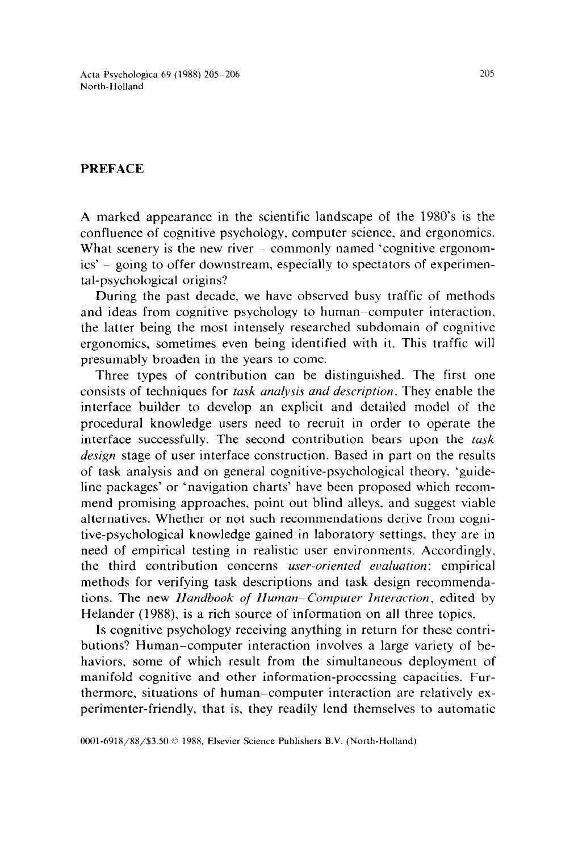Acta Psychologica 69 (1988) 205-206 North-Holland

## PREFACE

A marked appearance in the scientific landscape of the 1980's is the confluence of cognitive psychology, computer science. and ergonomics. What scenery is the new river – commonly named 'cognitive ergonomics' - going to offer downstream, especially to spectators of experimental-psychological origins?

During the past decade, we have observed busy traffic of methods and ideas from cognitive psychology to human–computer interaction, the latter being the most intensely researched subdomain of cognitive ergonomics, sometimes even being identified with it. This traffic will presumably broaden in the years to come.

Three types of contribution can be distinguished. The first one consists of techniques for *task anulysis and description.* They enable the interface builder to develop an explicit and detailed model of the procedural knowledge users need to recruit in order to operate the interface successfully. The second contribution bears upon the *task design* stage of user interface construction. Based in part on the results of task analysis and on general cognitive-psychological theory, 'guideline packages' or 'navigation charts' have been proposed which recommend promising approaches, point out blind alleys, and suggest viable alternatives. Whether or not such recommendations derive from cognitive-psychological knowledge gained in laboratory settings, they are in need of empirical testing in realistic user environments. Accordingly, the third contribution concerns *user-oriented evaluation:* empirical methods for verifying task descriptions and task design recommendations. The new *Hundbook of Human-Computer Interaction,* edited by Helander (1988), is a rich source of information on all three topics.

Is cognitive psychology receiving anything in return for these contributions? Human-computer interaction involves a large variety of behaviors, some of which result from the simultaneous deployment of manifold cognitive and other information-processing capacities. Furthermore, situations of human-computer interaction are relatively experimenter-friendly, that is, they readily lend themselves to automatic

0001-6918/88/\$3.50 © 1988, Elsevier Science Publishers B.V. (North-Holland)